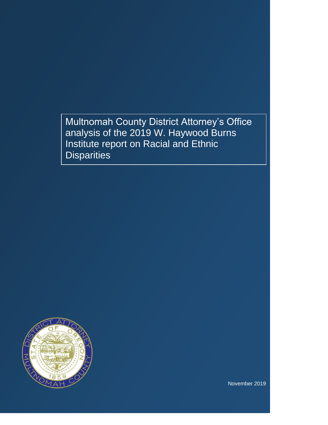Multnomah County District Attorney's Office analysis of the 2019 W. Haywood Burns Institute report on Racial and Ethnic **Disparities** 



November 2019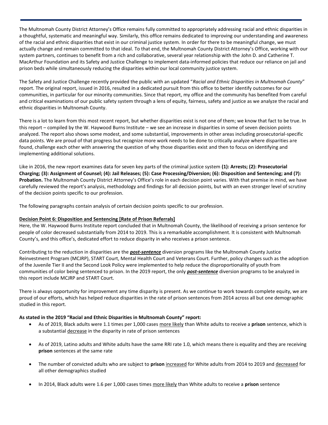The Multnomah County District Attorney's Office remains fully committed to appropriately addressing racial and ethnic disparities in a thoughtful, systematic and meaningful way. Similarly, this office remains dedicated to improving our understanding and awareness of the racial and ethnic disparities that exist in our criminal justice system. In order for there to be meaningful change, we must actually change and remain committed to that ideal. To that end, the Multnomah County District Attorney's Office, working with our system partners, continues to benefit from a rich and collaborative, several year relationship with the John D. and Catherine T. MacArthur Foundation and its Safety and Justice Challenge to implement data-informed policies that reduce our reliance on jail and prison beds while simultaneously reducing the disparities within our local community justice system.

The Safety and Justice Challenge recently provided the public with an updated "*Racial and Ethnic Disparities in Multnomah County*" report. The original report, issued in 2016, resulted in a dedicated pursuit from this office to better identify outcomes for our communities, in particular for our minority communities. Since that report, my office and the community has benefited from careful and critical examinations of our public safety system through a lens of equity, fairness, safety and justice as we analyze the racial and ethnic disparities in Multnomah County.

There is a lot to learn from this most recent report, but whether disparities exist is not one of them; we know that fact to be true. In this report – compiled by the W. Haywood Burns Institute – we see an increase in disparities in some of seven decision points analyzed. The report also shows some modest, and some substantial, improvements in other areas including prosecutorial-specific data points. We are proud of that progress but recognize more work needs to be done to critically analyze where disparities are found, challenge each other with answering the question of why those disparities exist and then to focus on identifying and implementing additional solutions.

Like in 2016, the new report examines data for seven key parts of the criminal justice system **(1): Arrests; (2): Prosecutorial Charging; (3): Assignment of Counsel; (4): Jail Releases; (5): Case Processing/Diversion; (6): Disposition and Sentencing; and (7): Probation.** The Multnomah County District Attorney's Office's role in each decision point varies. With that premise in mind, we have carefully reviewed the report's analysis, methodology and findings for all decision points, but with an even stronger level of scrutiny of the decision points specific to our profession.

The following paragraphs contain analysis of certain decision points specific to our profession.

## **Decision Point 6: Disposition and Sentencing [Rate of Prison Referrals]**

Here, the W. Haywood Burns Institute report concluded that in Multnomah County, the likelihood of receiving a prison sentence for people of color decreased substantially from 2014 to 2019. This is a remarkable accomplishment. It is consistent with Multnomah County's, and this office's, dedicated effort to reduce disparity in who receives a prison sentence.

Contributing to the reduction in disparities are the *post-sentence* diversion programs like the Multnomah County Justice Reinvestment Program (MCJRP), START Court, Mental Health Court and Veterans Court. Further, policy changes such as the adoption of the Juvenile Tier II and the Second Look Policy were implemented to help reduce the disproportionality of youth from communities of color being sentenced to prison. In the 2019 report, the only *post-sentence* diversion programs to be analyzed in this report include MCJRP and START Court.

There is always opportunity for improvement any time disparity is present. As we continue to work towards complete equity, we are proud of our efforts, which has helped reduce disparities in the rate of prison sentences from 2014 across all but one demographic studied in this report.

## **As stated in the 2019 "Racial and Ethnic Disparities in Multnomah County" report:**

- As of 2019, Black adults were 1.1 times per 1,000 cases more likely than White adults to receive a **prison** sentence, which is a substantial decrease in the disparity in rate of prison sentences
- As of 2019, Latino adults and White adults have the same RRI rate 1.0, which means there is equality and they are receiving **prison** sentences at the same rate
- The number of convicted adults who are subject to **prison** increased for White adults from 2014 to 2019 and decreased for all other demographics studied
- In 2014, Black adults were 1.6 per 1,000 cases times more likely than White adults to receive a **prison** sentence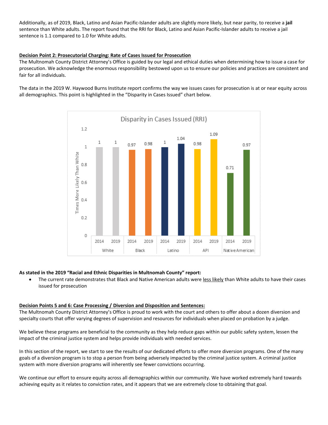Additionally, as of 2019, Black, Latino and Asian Pacific-Islander adults are slightly more likely, but near parity, to receive a **jail** sentence than White adults. The report found that the RRI for Black, Latino and Asian Pacific-Islander adults to receive a jail sentence is 1.1 compared to 1.0 for White adults.

#### **Decision Point 2: Prosecutorial Charging: Rate of Cases Issued for Prosecution**

The Multnomah County District Attorney's Office is guided by our legal and ethical duties when determining how to issue a case for prosecution. We acknowledge the enormous responsibility bestowed upon us to ensure our policies and practices are consistent and fair for all individuals.

The data in the 2019 W. Haywood Burns Institute report confirms the way we issues cases for prosecution is at or near equity across all demographics. This point is highlighted in the "Disparity in Cases Issued" chart below.



## **As stated in the 2019 "Racial and Ethnic Disparities in Multnomah County" report:**

 The current rate demonstrates that Black and Native American adults were less likely than White adults to have their cases issued for prosecution

#### **Decision Points 5 and 6: Case Processing / Diversion and Disposition and Sentences:**

The Multnomah County District Attorney's Office is proud to work with the court and others to offer about a dozen diversion and specialty courts that offer varying degrees of supervision and resources for individuals when placed on probation by a judge.

We believe these programs are beneficial to the community as they help reduce gaps within our public safety system, lessen the impact of the criminal justice system and helps provide individuals with needed services.

In this section of the report, we start to see the results of our dedicated efforts to offer more diversion programs. One of the many goals of a diversion program is to stop a person from being adversely impacted by the criminal justice system. A criminal justice system with more diversion programs will inherently see fewer convictions occurring.

We continue our effort to ensure equity across all demographics within our community. We have worked extremely hard towards achieving equity as it relates to conviction rates, and it appears that we are extremely close to obtaining that goal.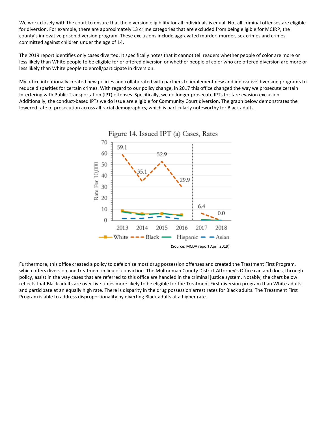We work closely with the court to ensure that the diversion eligibility for all individuals is equal. Not all criminal offenses are eligible for diversion. For example, there are approximately 13 crime categories that are excluded from being eligible for MCJRP, the county's innovative prison diversion program. These exclusions include aggravated murder, murder, sex crimes and crimes committed against children under the age of 14.

The 2019 report identifies only cases diverted. It specifically notes that it cannot tell readers whether people of color are more or less likely than White people to be eligible for or offered diversion or whether people of color who are offered diversion are more or less likely than White people to enroll/participate in diversion.

My office intentionally created new policies and collaborated with partners to implement new and innovative diversion programs to reduce disparities for certain crimes. With regard to our policy change, in 2017 this office changed the way we prosecute certain Interfering with Public Transportation (IPT) offenses. Specifically, we no longer prosecute IPTs for fare evasion exclusion. Additionally, the conduct-based IPTs we do issue are eligible for Community Court diversion. The graph below demonstrates the lowered rate of prosecution across all racial demographics, which is particularly noteworthy for Black adults.



Furthermore, this office created a policy to defelonize most drug possession offenses and created the Treatment First Program, which offers diversion and treatment in lieu of conviction. The Multnomah County District Attorney's Office can and does, through policy, assist in the way cases that are referred to this office are handled in the criminal justice system. Notably, the chart below reflects that Black adults are over five times more likely to be eligible for the Treatment First diversion program than White adults, and participate at an equally high rate. There is disparity in the drug possession arrest rates for Black adults. The Treatment First Program is able to address disproportionality by diverting Black adults at a higher rate.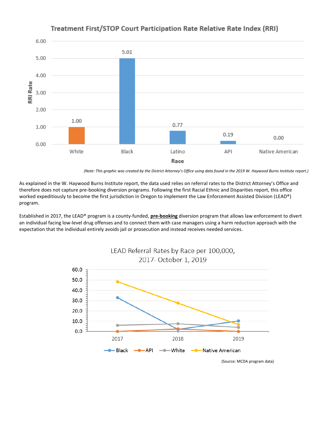

# Treatment First/STOP Court Participation Rate Relative Rate Index (RRI)

*(Note: This graphic was created by the District Attorney's Office using data found in the 2019 W. Haywood Burns Institute report.)*

As explained in the W. Haywood Burns Institute report, the data used relies on referral rates to the District Attorney's Office and therefore does not capture pre-booking diversion programs. Following the first Racial Ethnic and Disparities report, this office worked expeditiously to become the first jurisdiction in Oregon to implement the Law Enforcement Assisted Division (LEAD®) program.

Established in 2017, the LEAD® program is a county-funded, **pre-booking** diversion program that allows law enforcement to divert an individual facing low-level drug offenses and to connect them with case managers using a harm reduction approach with the expectation that the individual entirely avoids jail or prosecution and instead receives needed services.



(Source: MCDA program data)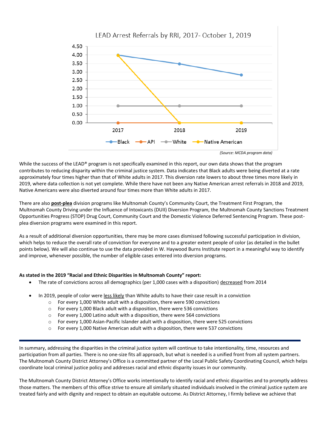

 *(Source: MCDA program data)*

While the success of the LEAD® program is not specifically examined in this report, our own data shows that the program contributes to reducing disparity within the criminal justice system. Data indicates that Black adults were being diverted at a rate approximately four times higher than that of White adults in 2017. This diversion rate lowers to about three times more likely in 2019, where data collection is not yet complete. While there have not been any Native American arrest referrals in 2018 and 2019, Native Americans were also diverted around four times more than White adults in 2017.

There are also **post-plea** division programs like Multnomah County's Community Court, the Treatment First Program, the Multnomah County Driving under the Influence of Intoxicants (DUII) Diversion Program, the Multnomah County Sanctions Treatment Opportunities Progress (STOP) Drug Court, Community Court and the Domestic Violence Deferred Sentencing Program. These postplea diversion programs were examined in this report.

As a result of additional diversion opportunities, there may be more cases dismissed following successful participation in division, which helps to reduce the overall rate of conviction for everyone and to a greater extent people of color (as detailed in the bullet points below). We will also continue to use the data provided in W. Haywood Burns Institute report in a meaningful way to identify and improve, whenever possible, the number of eligible cases entered into diversion programs.

#### **As stated in the 2019 "Racial and Ethnic Disparities in Multnomah County" report:**

- The rate of convictions across all demographics (per 1,000 cases with a disposition) decreased from 2014
- In 2019, people of color were less likely than White adults to have their case result in a conviction
	- o For every 1,000 White adult with a disposition, there were 590 convictions
	- $\circ$  For every 1,000 Black adult with a disposition, there were 536 convictions
	- o For every 1,000 Latino adult with a disposition, there were 564 convictions
	- $\circ$  For every 1,000 Asian-Pacific Islander adult with a disposition, there were 525 convictions
	- $\circ$  For every 1,000 Native American adult with a disposition, there were 537 convictions

In summary, addressing the disparities in the criminal justice system will continue to take intentionality, time, resources and participation from all parties. There is no one-size fits all approach, but what is needed is a unified front from all system partners. The Multnomah County District Attorney's Office is a committed partner of the Local Public Safety Coordinating Council, which helps coordinate local criminal justice policy and addresses racial and ethnic disparity issues in our community.

The Multnomah County District Attorney's Office works intentionally to identify racial and ethnic disparities and to promptly address those matters. The members of this office strive to ensure all similarly situated individuals involved in the criminal justice system are treated fairly and with dignity and respect to obtain an equitable outcome. As District Attorney, I firmly believe we achieve that

LEAD Arrest Referrals by RRI, 2017- October 1, 2019